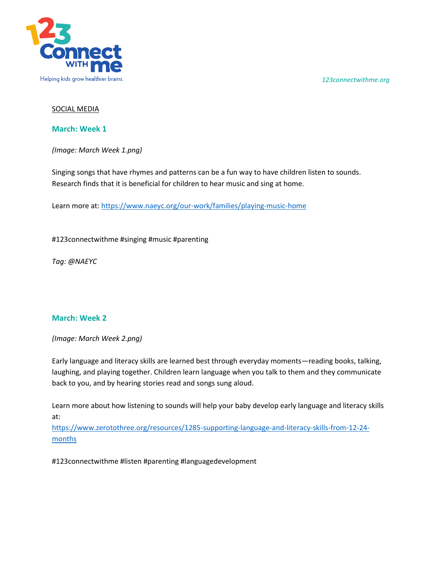*123connectwithme.org*



## SOCIAL MEDIA

**March: Week 1**

*(Image: March Week 1.png)* 

Singing songs that have rhymes and patterns can be a fun way to have children listen to sounds. Research finds that it is beneficial for children to hear music and sing at home.

Learn more at:<https://www.naeyc.org/our-work/families/playing-music-home>

#123connectwithme #singing #music #parenting

*Tag: @NAEYC*

## **March: Week 2**

*(Image: March Week 2.png)* 

Early language and literacy skills are learned best through everyday moments—reading books, talking, laughing, and playing together. Children learn language when you talk to them and they communicate back to you, and by hearing stories read and songs sung aloud.

Learn more about how listening to sounds will help your baby develop early language and literacy skills at:

[https://www.zerotothree.org/resources/1285-supporting-language-and-literacy-skills-from-12-24](https://www.zerotothree.org/resources/1285-supporting-language-and-literacy-skills-from-12-24-months) [months](https://www.zerotothree.org/resources/1285-supporting-language-and-literacy-skills-from-12-24-months)

#123connectwithme #listen #parenting #languagedevelopment